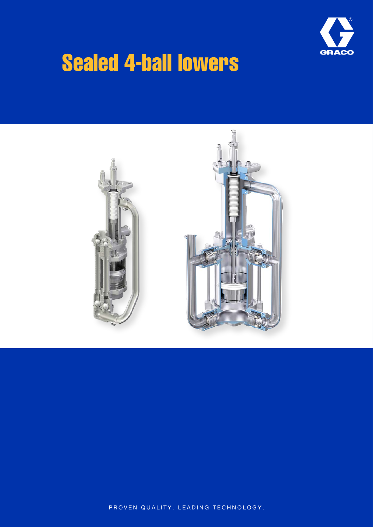

## Sealed 4-ball lowers